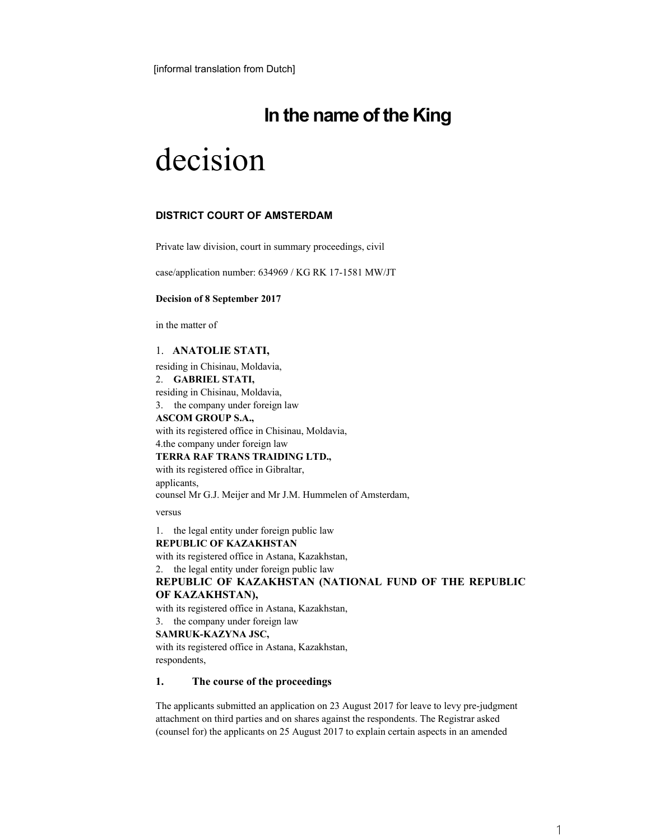[informal translation from Dutch]

# **In the name of the King**

# decision

# **DISTRICT COURT OF AMSTERDAM**

Private law division, court in summary proceedings, civil

case/application number: 634969 / KG RK 17-1581 MW/JT

#### **Decision of 8 September 2017**

in the matter of

# 1. **ANATOLIE STATI,**

residing in Chisinau, Moldavia, 2. **GABRIEL STATI,**  residing in Chisinau, Moldavia, 3. the company under foreign law **ASCOM GROUP S.A.,** 

with its registered office in Chisinau, Moldavia, 4.the company under foreign law

#### **TERRA RAF TRANS TRAIDING LTD.,**

with its registered office in Gibraltar, applicants, counsel Mr G.J. Meijer and Mr J.M. Hummelen of Amsterdam,

versus

1. the legal entity under foreign public law **REPUBLIC OF KAZAKHSTAN**  with its registered office in Astana, Kazakhstan, 2. the legal entity under foreign public law **REPUBLIC OF KAZAKHSTAN (NATIONAL FUND OF THE REPUBLIC OF KAZAKHSTAN),** 

with its registered office in Astana, Kazakhstan,

3. the company under foreign law

### **SAMRUK-KAZYNA JSC,**

with its registered office in Astana, Kazakhstan, respondents,

# **1. The course of the proceedings**

The applicants submitted an application on 23 August 2017 for leave to levy pre-judgment attachment on third parties and on shares against the respondents. The Registrar asked (counsel for) the applicants on 25 August 2017 to explain certain aspects in an amended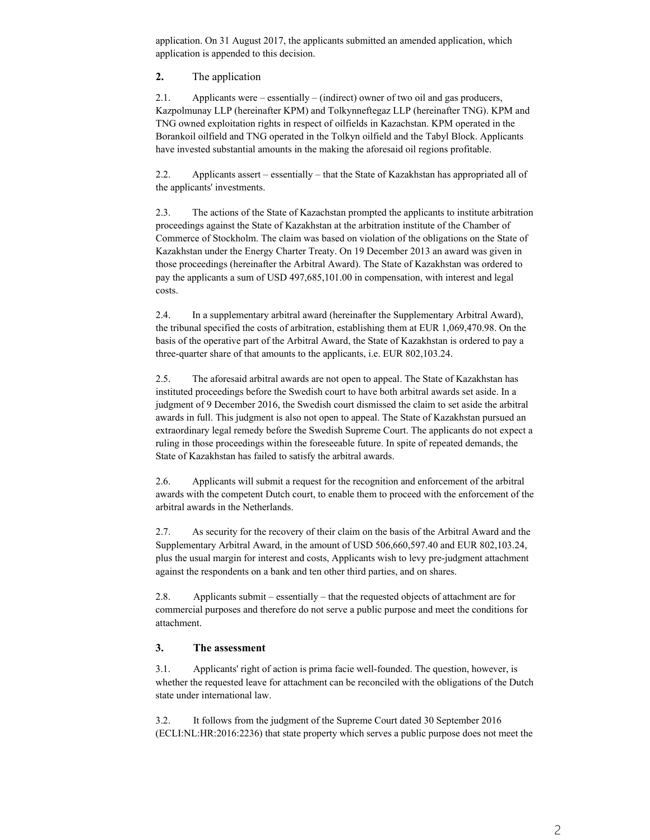application. On 31 August 2017, the applicants submitted an amended application, which application is appended to this decision.

**2.** The application

2.1. Applicants were – essentially – (indirect) owner of two oil and gas producers, Kazpolmunay LLP (hereinafter KPM) and Tolkynneftegaz LLP (hereinafter TNG). KPM and TNG owned exploitation rights in respect of oilfields in Kazachstan. KPM operated in the Borankoil oilfield and TNG operated in the Tolkyn oilfield and the Tabyl Block. Applicants have invested substantial amounts in the making the aforesaid oil regions profitable.

2.2. Applicants assert – essentially – that the State of Kazakhstan has appropriated all of the applicants' investments.

2.3. The actions of the State of Kazachstan prompted the applicants to institute arbitration proceedings against the State of Kazakhstan at the arbitration institute of the Chamber of Commerce of Stockholm. The claim was based on violation of the obligations on the State of Kazakhstan under the Energy Charter Treaty. On 19 December 2013 an award was given in those proceedings (hereinafter the Arbitral Award). The State of Kazakhstan was ordered to pay the applicants a sum of USD 497,685,101.00 in compensation, with interest and legal costs.

2.4. In a supplementary arbitral award (hereinafter the Supplementary Arbitral Award), the tribunal specified the costs of arbitration, establishing them at EUR 1,069,470.98. On the basis of the operative part of the Arbitral Award, the State of Kazakhstan is ordered to pay a three-quarter share of that amounts to the applicants, i.e. EUR 802,103.24.

2.5. The aforesaid arbitral awards are not open to appeal. The State of Kazakhstan has instituted proceedings before the Swedish court to have both arbitral awards set aside. In a judgment of 9 December 2016, the Swedish court dismissed the claim to set aside the arbitral awards in full. This judgment is also not open to appeal. The State of Kazakhstan pursued an extraordinary legal remedy before the Swedish Supreme Court. The applicants do not expect a ruling in those proceedings within the foreseeable future. In spite of repeated demands, the State of Kazakhstan has failed to satisfy the arbitral awards.

2.6. Applicants will submit a request for the recognition and enforcement of the arbitral awards with the competent Dutch court, to enable them to proceed with the enforcement of the arbitral awards in the Netherlands.

2.7. As security for the recovery of their claim on the basis of the Arbitral Award and the Supplementary Arbitral Award, in the amount of USD 506,660,597.40 and EUR 802,103.24, plus the usual margin for interest and costs, Applicants wish to levy pre-judgment attachment against the respondents on a bank and ten other third parties, and on shares.

2.8. Applicants submit – essentially – that the requested objects of attachment are for commercial purposes and therefore do not serve a public purpose and meet the conditions for attachment.

# **3. The assessment**

3.1. Applicants' right of action is prima facie well-founded. The question, however, is whether the requested leave for attachment can be reconciled with the obligations of the Dutch state under international law.

3.2. It follows from the judgment of the Supreme Court dated 30 September 2016 (ECLI:NL:HR:2016:2236) that state property which serves a public purpose does not meet the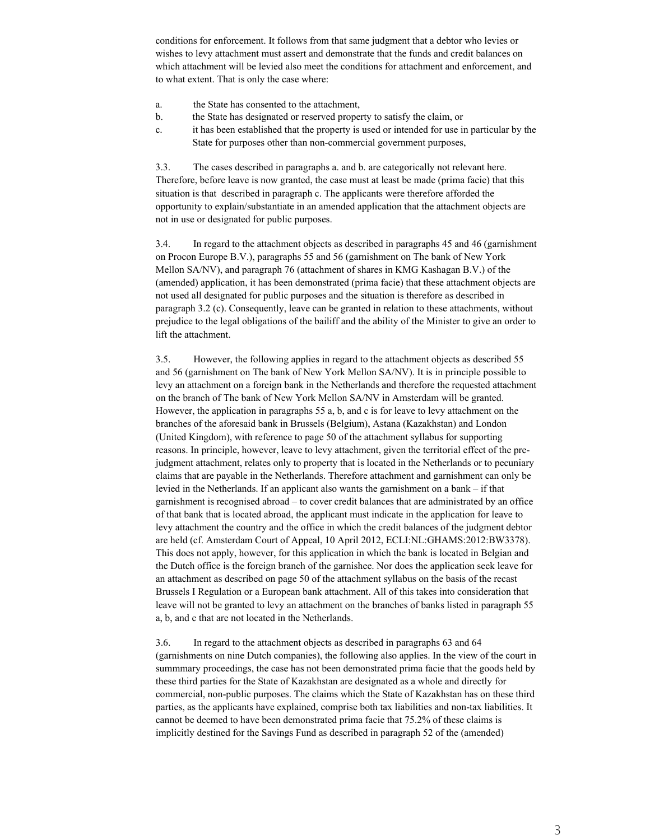conditions for enforcement. It follows from that same judgment that a debtor who levies or wishes to levy attachment must assert and demonstrate that the funds and credit balances on which attachment will be levied also meet the conditions for attachment and enforcement, and to what extent. That is only the case where:

- a. the State has consented to the attachment,
- b. the State has designated or reserved property to satisfy the claim, or
- c. it has been established that the property is used or intended for use in particular by the State for purposes other than non-commercial government purposes,

3.3. The cases described in paragraphs a. and b. are categorically not relevant here. Therefore, before leave is now granted, the case must at least be made (prima facie) that this situation is that described in paragraph c. The applicants were therefore afforded the opportunity to explain/substantiate in an amended application that the attachment objects are not in use or designated for public purposes.

3.4. In regard to the attachment objects as described in paragraphs 45 and 46 (garnishment on Procon Europe B.V.), paragraphs 55 and 56 (garnishment on The bank of New York Mellon SA/NV), and paragraph 76 (attachment of shares in KMG Kashagan B.V.) of the (amended) application, it has been demonstrated (prima facie) that these attachment objects are not used all designated for public purposes and the situation is therefore as described in paragraph 3.2 (c). Consequently, leave can be granted in relation to these attachments, without prejudice to the legal obligations of the bailiff and the ability of the Minister to give an order to lift the attachment.

3.5. However, the following applies in regard to the attachment objects as described 55 and 56 (garnishment on The bank of New York Mellon SA/NV). It is in principle possible to levy an attachment on a foreign bank in the Netherlands and therefore the requested attachment on the branch of The bank of New York Mellon SA/NV in Amsterdam will be granted. However, the application in paragraphs 55 a, b, and c is for leave to levy attachment on the branches of the aforesaid bank in Brussels (Belgium), Astana (Kazakhstan) and London (United Kingdom), with reference to page 50 of the attachment syllabus for supporting reasons. In principle, however, leave to levy attachment, given the territorial effect of the prejudgment attachment, relates only to property that is located in the Netherlands or to pecuniary claims that are payable in the Netherlands. Therefore attachment and garnishment can only be levied in the Netherlands. If an applicant also wants the garnishment on a bank – if that garnishment is recognised abroad – to cover credit balances that are administrated by an office of that bank that is located abroad, the applicant must indicate in the application for leave to levy attachment the country and the office in which the credit balances of the judgment debtor are held (cf. Amsterdam Court of Appeal, 10 April 2012, ECLI:NL:GHAMS:2012:BW3378). This does not apply, however, for this application in which the bank is located in Belgian and the Dutch office is the foreign branch of the garnishee. Nor does the application seek leave for an attachment as described on page 50 of the attachment syllabus on the basis of the recast Brussels I Regulation or a European bank attachment. All of this takes into consideration that leave will not be granted to levy an attachment on the branches of banks listed in paragraph 55 a, b, and c that are not located in the Netherlands.

3.6. In regard to the attachment objects as described in paragraphs 63 and 64 (garnishments on nine Dutch companies), the following also applies. In the view of the court in summmary proceedings, the case has not been demonstrated prima facie that the goods held by these third parties for the State of Kazakhstan are designated as a whole and directly for commercial, non-public purposes. The claims which the State of Kazakhstan has on these third parties, as the applicants have explained, comprise both tax liabilities and non-tax liabilities. It cannot be deemed to have been demonstrated prima facie that 75.2% of these claims is implicitly destined for the Savings Fund as described in paragraph 52 of the (amended)